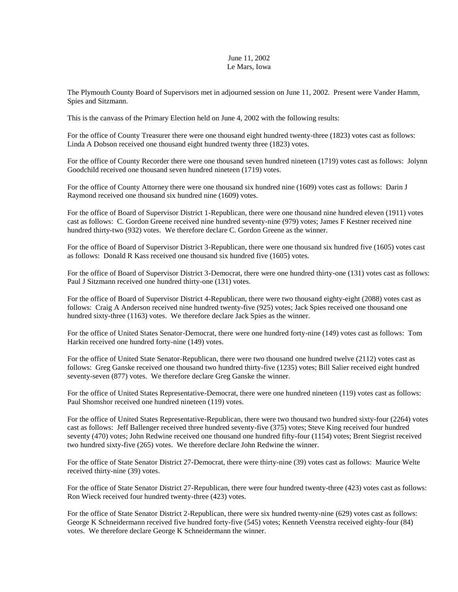## June 11, 2002 Le Mars, Iowa

The Plymouth County Board of Supervisors met in adjourned session on June 11, 2002. Present were Vander Hamm, Spies and Sitzmann.

This is the canvass of the Primary Election held on June 4, 2002 with the following results:

For the office of County Treasurer there were one thousand eight hundred twenty-three (1823) votes cast as follows: Linda A Dobson received one thousand eight hundred twenty three (1823) votes.

For the office of County Recorder there were one thousand seven hundred nineteen (1719) votes cast as follows: Jolynn Goodchild received one thousand seven hundred nineteen (1719) votes.

For the office of County Attorney there were one thousand six hundred nine (1609) votes cast as follows: Darin J Raymond received one thousand six hundred nine (1609) votes.

For the office of Board of Supervisor District 1-Republican, there were one thousand nine hundred eleven (1911) votes cast as follows: C. Gordon Greene received nine hundred seventy-nine (979) votes; James F Kestner received nine hundred thirty-two (932) votes. We therefore declare C. Gordon Greene as the winner.

For the office of Board of Supervisor District 3-Republican, there were one thousand six hundred five (1605) votes cast as follows: Donald R Kass received one thousand six hundred five (1605) votes.

For the office of Board of Supervisor District 3-Democrat, there were one hundred thirty-one (131) votes cast as follows: Paul J Sitzmann received one hundred thirty-one (131) votes.

For the office of Board of Supervisor District 4-Republican, there were two thousand eighty-eight (2088) votes cast as follows: Craig A Anderson received nine hundred twenty-five (925) votes; Jack Spies received one thousand one hundred sixty-three (1163) votes. We therefore declare Jack Spies as the winner.

For the office of United States Senator-Democrat, there were one hundred forty-nine (149) votes cast as follows: Tom Harkin received one hundred forty-nine (149) votes.

For the office of United State Senator-Republican, there were two thousand one hundred twelve (2112) votes cast as follows: Greg Ganske received one thousand two hundred thirty-five (1235) votes; Bill Salier received eight hundred seventy-seven (877) votes. We therefore declare Greg Ganske the winner.

For the office of United States Representative-Democrat, there were one hundred nineteen (119) votes cast as follows: Paul Shomshor received one hundred nineteen (119) votes.

For the office of United States Representative-Republican, there were two thousand two hundred sixty-four (2264) votes cast as follows: Jeff Ballenger received three hundred seventy-five (375) votes; Steve King received four hundred seventy (470) votes; John Redwine received one thousand one hundred fifty-four (1154) votes; Brent Siegrist received two hundred sixty-five (265) votes. We therefore declare John Redwine the winner.

For the office of State Senator District 27-Democrat, there were thirty-nine (39) votes cast as follows: Maurice Welte received thirty-nine (39) votes.

For the office of State Senator District 27-Republican, there were four hundred twenty-three (423) votes cast as follows: Ron Wieck received four hundred twenty-three (423) votes.

For the office of State Senator District 2-Republican, there were six hundred twenty-nine (629) votes cast as follows: George K Schneidermann received five hundred forty-five (545) votes; Kenneth Veenstra received eighty-four (84) votes. We therefore declare George K Schneidermann the winner.